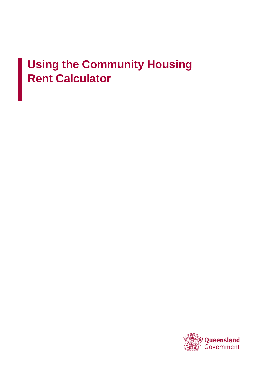# **Using the Community Housing Rent Calculator**

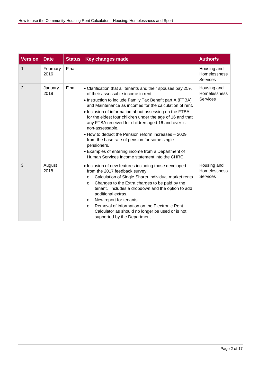| <b>Version</b> | <b>Date</b>      | <b>Status</b> | <b>Key changes made</b>                                                                                                                                                                                                                                                                                                                                                                                                                                                                                                                                                                                                                                  | <b>Author/s</b>                                       |
|----------------|------------------|---------------|----------------------------------------------------------------------------------------------------------------------------------------------------------------------------------------------------------------------------------------------------------------------------------------------------------------------------------------------------------------------------------------------------------------------------------------------------------------------------------------------------------------------------------------------------------------------------------------------------------------------------------------------------------|-------------------------------------------------------|
| 1              | February<br>2016 | Final         |                                                                                                                                                                                                                                                                                                                                                                                                                                                                                                                                                                                                                                                          | Housing and<br>Homelessness<br><b>Services</b>        |
| 2              | January<br>2018  | Final         | • Clarification that all tenants and their spouses pay 25%<br>of their assessable income in rent.<br>• Instruction to include Family Tax Benefit part A (FTBA)<br>and Maintenance as incomes for the calculation of rent.<br>• Inclusion of information about assessing on the FTBA<br>for the eldest four children under the age of 16 and that<br>any FTBA received for children aged 16 and over is<br>non-assessable.<br>. How to deduct the Pension reform increases - 2009<br>from the base rate of pension for some single<br>pensioners.<br>• Examples of entering income from a Department of<br>Human Services Income statement into the CHRC. | Housing and<br><b>Homelessness</b><br><b>Services</b> |
| 3              | August<br>2018   |               | • Inclusion of new features including those developed<br>from the 2017 feedback survey:<br>Calculation of Single Sharer individual market rents<br>$\circ$<br>Changes to the Extra charges to be paid by the<br>$\circ$<br>tenant. Includes a dropdown and the option to add<br>additional extras.<br>New report for tenants<br>$\circ$<br>Removal of information on the Electronic Rent<br>$\circ$<br>Calculator as should no longer be used or is not<br>supported by the Department.                                                                                                                                                                  | Housing and<br>Homelessness<br><b>Services</b>        |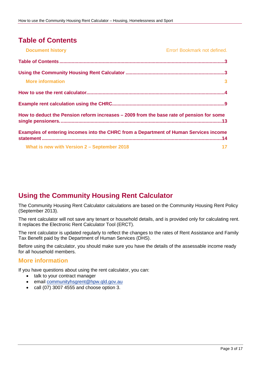# <span id="page-2-0"></span>**Table of Contents**

| <b>Document history</b>                                                                  | Error! Bookmark not defined. |
|------------------------------------------------------------------------------------------|------------------------------|
|                                                                                          |                              |
|                                                                                          |                              |
| <b>More information</b>                                                                  | $\mathbf{3}$                 |
|                                                                                          |                              |
|                                                                                          |                              |
| How to deduct the Pension reform increases – 2009 from the base rate of pension for some |                              |
| Examples of entering incomes into the CHRC from a Department of Human Services income    |                              |
| What is new with Version 2 - September 2018                                              | 17                           |

# <span id="page-2-1"></span>**Using the Community Housing Rent Calculator**

The Community Housing Rent Calculator calculations are based on the Community Housing Rent Policy (September 2013).

The rent calculator will not save any tenant or household details, and is provided only for calculating rent. It replaces the Electronic Rent Calculator Tool (ERCT).

The rent calculator is updated regularly to reflect the changes to the rates of Rent Assistance and Family Tax Benefit paid by the Department of Human Services (DHS).

Before using the calculator, you should make sure you have the details of the assessable income ready for all household members.

### <span id="page-2-2"></span>**More information**

If you have questions about using the rent calculator, you can:

- talk to your contract manager
- email [communityhsgrent@hpw.qld.gov.au](mailto:communityhsgrent@hpw.qld.gov.au)
- call (07) 3007 4555 and choose option 3.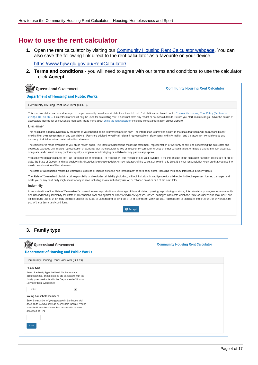### <span id="page-3-0"></span>**How to use the rent calculator**

**1.** Open the rent calculator by visiting our [Community Housing Rent Calculator webpage.](http://www.hpw.qld.gov.au/aboutus/ReportsPublications/FormsTemplates/Pages/CommunityHousingProviders.aspx) You can also save the following link direct to the rent calculator as a favourite on your device.

<https://www.hpw.qld.gov.au/RentCalculator/>

**2. Terms and conditions** - you will need to agree with our terms and conditions to use the calculator – click **Accept**.

**Community Housing Rent Calculator** 

**Asset Queensland Government Department of Housing and Public Works** 

Community Housing Rent Calculator (CHRC)

This rent calculator has been developed to help community providers calculate their tenants' rent. Calculations are based on the Community Housing Rent Policy (September 2013) (PDF, 80.5KB). This calculator should only be used for calculating rent. It does not save any tenant or household details. Before you start, make sure you have the details of assessable income for all household members. Read more about using the rent calculator including contact information on our website.

#### Disclaimer

This calculator is made available by the State of Queensland as an information source only. The information is provided solely on the basis that users will be responsible for making their own assessment of any calculations. Users are advised to verify all relevant representations, statements and information, and the accuracy, completeness and currency of all information contained in the calculator.

The calculator is made available to you on an "as is" basis. The State of Queensland makes no statement, representation or warranty of any kind concerning the calculator and expressly excludes any implied representation or warranty that the calculator is free of infection by computer viruses or other contamination, or that it is and will remain accurate, adequate, and current, of any particular quality, complete, non-infringing or suitable for any particular purpose.

You acknowledge and accept that use, reproduction or storage of, or reliance on, this calculator is at your own risk. If the information in the calculator becomes inaccurate or out of date, the State of Queensland may decide in its discretion to release updates or new releases of the calculator from time to time. It is your responsibility to ensure that you use the most current version of the calculator

The State of Queensland makes no warranties, express or implied as to the non-infringement of third party rights, including third party intellectual property rights

The State of Queensland disclaims all responsibility and excludes all liability (including, without limitation, in negligence) for all direct or indirect expenses, losses, damages and costs you or any third party might incur for any reason including as a result of any use of, or reliance on all or part of the calculator.

#### Indemnity

In consideration of the State of Queensland's consent to use, reproduction and storage of this calculator, by using, reproducing or storing this calculator, you agree to permanently and unconditionally indemnify the State of Queensland from and against all direct or indirect expenses, losses, damages and costs which the State of Queensland may incur, and all third party claims which may be made against the State of Queensland, arising out of or in connection with your use, reproduction or storage of the program, or any breach by you of these terms and conditions

**■** Accept

#### **3. Family type**

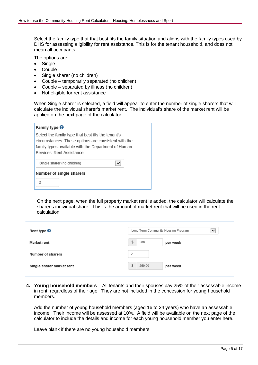Select the family type that that best fits the family situation and aligns with the family types used by DHS for assessing eligibility for rent assistance. This is for the tenant household, and does not mean all occupants.

The options are:

- Single
- Couple
- Single sharer (no children)
- Couple temporarily separated (no children)
- Couple separated by illness (no children)
- Not eligible for rent assistance

When Single sharer is selected, a field will appear to enter the number of single sharers that will calculate the individual sharer's market rent. The individual's share of the market rent will be applied on the next page of the calculator.

| Family type $\Theta$                                                                                                                                                                           |
|------------------------------------------------------------------------------------------------------------------------------------------------------------------------------------------------|
| Select the family type that best fits the tenant's<br>circumstances. These options are consistent with the<br>family types available with the Department of Human<br>Services' Rent Assistance |
| Single sharer (no children)                                                                                                                                                                    |
| Number of single sharers<br>$\overline{\phantom{a}}$                                                                                                                                           |

On the next page, when the full property market rent is added, the calculator will calculate the sharer's individual share. This is the amount of market rent that will be used in the rent calculation.

| Rent type $\Theta$        | Long Term Community Housing Program<br>$\check{ }$ |
|---------------------------|----------------------------------------------------|
| <b>Market rent</b>        | Ŝ.<br>500<br>per week                              |
| Number of sharers         | $\overline{2}$                                     |
| Single sharer market rent | \$<br>250.00<br>per week                           |

**4. Young household members** – All tenants and their spouses pay 25% of their assessable income in rent, regardless of their age. They are not included in the concession for young household members.

Add the number of young household members (aged 16 to 24 years) who have an assessable income. Their income will be assessed at 10%. A field will be available on the next page of the calculator to include the details and income for each young household member you enter here.

Leave blank if there are no young household members.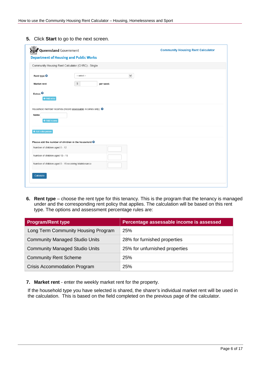**5.** Click **Start** to go to the next screen.

| Queensland Government           |                                                                          | <b>Community Housing Rent Calculator</b> |
|---------------------------------|--------------------------------------------------------------------------|------------------------------------------|
|                                 | <b>Department of Housing and Public Works</b>                            |                                          |
|                                 | Community Housing Rent Calculator (CHRC) - Single                        |                                          |
| Rent type <sup>O</sup>          | $\check{ }$<br>-- select --                                              |                                          |
| <b>Market rent</b>              | $$\mathfrak{S}$$<br>per week                                             |                                          |
| Extras $\Theta$<br>+ Add extra  |                                                                          |                                          |
|                                 | Household member incomes (record assessable incomes only). ●             |                                          |
| Name<br>+ Add income            |                                                                          |                                          |
| + Add extra person              |                                                                          |                                          |
|                                 | Please add the number of children in the household $\boldsymbol{\Theta}$ |                                          |
| Number of children aged 0 - 12  |                                                                          |                                          |
| Number of children aged 13 - 15 |                                                                          |                                          |
|                                 | Number of children aged 0 - 15 receiving Maintenance                     |                                          |
| Calculate                       |                                                                          |                                          |
|                                 |                                                                          |                                          |
|                                 |                                                                          |                                          |

**6.** Rent type – choose the rent type for this tenancy. This is the program that the tenancy is managed under and the corresponding rent policy that applies. The calculation will be based on this rent type. The options and assessment percentage rules are:

| <b>Program/Rent type</b>              | Percentage assessable income is assessed |
|---------------------------------------|------------------------------------------|
| Long Term Community Housing Program   | 25%                                      |
| <b>Community Managed Studio Units</b> | 28% for furnished properties             |
| <b>Community Managed Studio Units</b> | 25% for unfurnished properties           |
| <b>Community Rent Scheme</b>          | 25%                                      |
| <b>Crisis Accommodation Program</b>   | 25%                                      |

**7. Market rent** - enter the weekly market rent for the property.

If the household type you have selected is shared, the sharer's individual market rent will be used in the calculation. This is based on the field completed on the previous page of the calculator.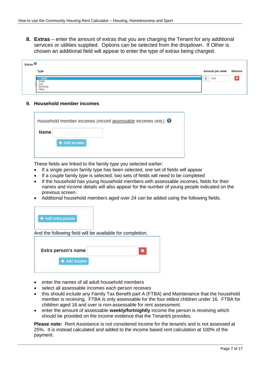**8. Extras** – enter the amount of extras that you are charging the Tenant for any additional services or utilities supplied. Options can be selected from the dropdown. If Other is chosen an additional field will appear to enter the type of extras being charged.

| Extras $\Theta$ |                                                    |                 |        |
|-----------------|----------------------------------------------------|-----------------|--------|
|                 | Type                                               | Amount per week | Remove |
|                 | - select -<br>Water<br>Gas<br>Electricity<br>Other | \$<br>0.00      |        |

#### **9. Household member incomes**

|      | Household member incomes (record $\frac{\text{assessable}}{\text{incomes}}$ only). $\Theta$ |
|------|---------------------------------------------------------------------------------------------|
| Name |                                                                                             |
|      | + Add income                                                                                |
|      |                                                                                             |

These fields are linked to the family type you selected earlier:

- If a single person family type has been selected, one set of fields will appear
- If a couple family type is selected, two sets of fields will need to be completed
- If the household has young household members with assessable incomes, fields for their names and income details will also appear for the number of young people indicated on the previous screen.
- Additional household members aged over 24 can be added using the following fields.



| Extra person's name |  |
|---------------------|--|
| + Add Income        |  |
|                     |  |

- enter the names of all adult household members
- select all assessable incomes each person receives
- this should include any Family Tax Benefit part A (FTBA) and Maintenance that the household member is receiving. FTBA is only assessable for the four eldest children under 16. FTBA for children aged 16 and over is non-assessable for rent assessment.
- enter the amount of assessable **weekly/fortnightly** income the person is receiving which should be provided on the income evidence that the Tenant/s provides.

**Please note:** Rent Assistance is not considered income for the tenant/s and is not assessed at 25%. It is instead calculated and added to the income based rent calculation at 100% of the payment.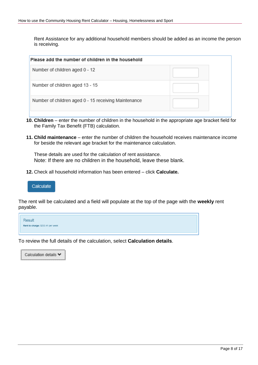Rent Assistance for any additional household members should be added as an income the person is receiving.

- **10. Children** enter the number of children in the household in the appropriate age bracket field for the Family Tax Benefit (FTB) calculation.
- **11. Child maintenance** enter the number of children the household receives maintenance income for beside the relevant age bracket for the maintenance calculation.

These details are used for the calculation of rent assistance. Note: If there are no children in the household, leave these blank.

**12.** Check all household information has been entered – click **Calculate.**



The rent will be calculated and a field will populate at the top of the page with the **weekly** rent payable.



To review the full details of the calculation, select **Calculation details**.

Calculation details ◆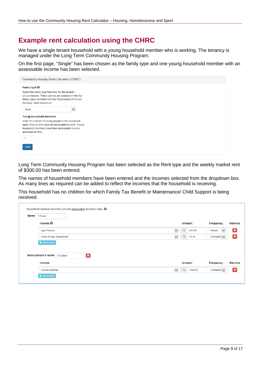### <span id="page-8-0"></span>**Example rent calculation using the CHRC**

We have a single tenant household with a young household member who is working. The tenancy is managed under the Long Term Community Housing Program.

On the first page, "Single" has been chosen as the family type and one young household member with an assessable income has been selected.

| Community Housing Rent Calculator (CHRC)                                                                   |
|------------------------------------------------------------------------------------------------------------|
| Family type $\Theta$                                                                                       |
| Select the family type that best fits the tenant's<br>circumstances. These options are consistent with the |
| family types available with the Department of Human                                                        |
| Services' Rent Assistance                                                                                  |
| Single<br>$\overline{\mathsf{v}}$                                                                          |
| Young household members                                                                                    |
| Enter the number of young people in the household<br>aged 16 to 24 who have an assessable income. Young    |
| household members have their assessable income                                                             |
| assessed at 10%.                                                                                           |
|                                                                                                            |
| <b>Start</b>                                                                                               |
|                                                                                                            |

Long Term Community Housing Program has been selected as the Rent type and the weekly market rent of \$300.00 has been entered.

The names of household members have been entered and the incomes selected from the dropdown box. As many lines as required can be added to reflect the incomes that the household is receiving.

This household has no children for which Family Tax Benefit or Maintenance/ Child Support is being received.

| Name | T.Enent                                       |                         |                          |                        |                 |
|------|-----------------------------------------------|-------------------------|--------------------------|------------------------|-----------------|
|      | Income $\Theta$                               |                         | Amount                   | Frequency              | Remove          |
|      | Age Pension                                   | $\overline{\mathbf{v}}$ | $$\mathbb{S}$$<br>413.00 | $\checkmark$<br>Weekly | $\vert x \vert$ |
|      |                                               |                         |                          |                        |                 |
|      | Clean Energy Supplement<br>+ Add income       | $\checkmark$            | \$<br>14.10              | Fortnightly $  \vee  $ | $\vert x \vert$ |
|      | $\mathbf{x}$<br>Extra person's name R.Esident |                         |                          |                        |                 |
|      | Income                                        |                         | Amount                   | Frequency              | Remove          |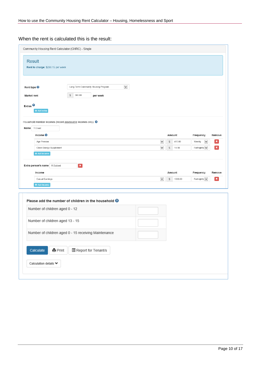### When the rent is calculated this is the result:

| Community Housing Rent Calculator (CHRC) - Single<br><b>Result</b><br>Rent to charge: \$290.15 per week                                                                             |                                                                        |                                                                                  |
|-------------------------------------------------------------------------------------------------------------------------------------------------------------------------------------|------------------------------------------------------------------------|----------------------------------------------------------------------------------|
| $\checkmark$<br>Long Term Community Housing Program<br>Rent type <sup>@</sup><br>$$\mathfrak{S}$$<br>300.00<br><b>Market rent</b><br>per week<br>Extras <sup>0</sup><br>+ Add extra |                                                                        |                                                                                  |
| Household member incomes (record assessable incomes only). <sup>O</sup><br>Name T.Enent<br>Income <sup>O</sup>                                                                      | Amount                                                                 | Frequency<br>Remove                                                              |
| Age Pension<br>Clean Energy Supplement<br>+ Add income                                                                                                                              | $\check{ }$<br>413.00<br>\$<br>$\checkmark$<br>$$\mathbb{S}$$<br>14.10 | $\check{~}$<br>×<br>Weekly<br>$\pmb{\times}$<br>Fortnightly $\blacktriangledown$ |
| $\vert x \vert$<br>Extra person's name R.Esident<br>Income                                                                                                                          | Amount<br>$\check{ }$<br>\$<br>1000.00                                 | Frequency<br>Remove<br>$\pmb{\times}$                                            |
| Casual Earnings<br>+ Add Income                                                                                                                                                     |                                                                        | Fortnightly $\blacktriangledown$                                                 |
| Please add the number of children in the household $\Theta$<br>Number of children aged 0 - 12                                                                                       |                                                                        |                                                                                  |
| Number of children aged 13 - 15                                                                                                                                                     |                                                                        |                                                                                  |
| Number of children aged 0 - 15 receiving Maintenance                                                                                                                                |                                                                        |                                                                                  |
| Calculate<br><b>홈</b> Print<br>图 Report for Tenant/s<br>Calculation details $\blacktriangleright$                                                                                   |                                                                        |                                                                                  |
|                                                                                                                                                                                     |                                                                        |                                                                                  |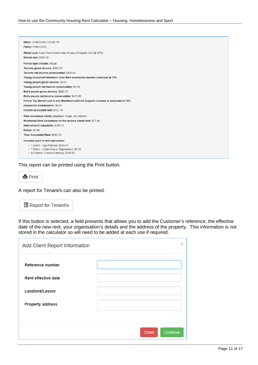| When: 22/08/2018 2:26:40 PM<br>Policy: Policy 2013                                                                                                                                                                                                                                                                                                                                                                                                                                                                         |  |
|----------------------------------------------------------------------------------------------------------------------------------------------------------------------------------------------------------------------------------------------------------------------------------------------------------------------------------------------------------------------------------------------------------------------------------------------------------------------------------------------------------------------------|--|
| Rental type: Long Term Community Housing Program (rent @ 25%)<br><b>Market rent: \$300.00</b>                                                                                                                                                                                                                                                                                                                                                                                                                              |  |
| Family type chosen: Single<br>Tenants gross income: \$420.05<br>Tenants net income (assessable): \$420.05<br>Young household members have their assessable income assessed at 10%<br>Young people gross income: \$0.00<br>Young people net income (assessable): \$0.00<br>Extra people gross income: \$500.00<br>Extra people net income (assessable): \$471.00<br>Family Tax Benefit part A and Maintenance/Child Support incomes is assessed at 15%<br>Household maintenance: \$0.00<br>Income calculated rent: \$222.76 |  |
| Rent assistance family situation: Single, no children.<br>Maximized Rent Assistance on the income based rent: \$67.40<br>Rent amount calculated: \$290.16<br><b>Extras: \$0.00</b><br>Total Calculated Rent: \$290.15<br>Incomes used in rent calculation:                                                                                                                                                                                                                                                                 |  |
| • T.Enent - Age Pension, \$413.00<br>• T.Enent - Clean Energy Supplement, \$7.05<br>• R.Esident - Casual Earnings, \$500.00                                                                                                                                                                                                                                                                                                                                                                                                |  |

This report can be printed using the Print button.



A report for Tenant/s can also be printed.



If this button is selected, a field presents that allows you to add the Customer's reference, the effective date of the new rent, your organisation's details and the address of the property. This information is not stored in the calculator so will need to be added at each use if required.

| Add Client Report Information |                   | x |
|-------------------------------|-------------------|---|
| Reference number              |                   |   |
| Rent effective date           |                   |   |
| Landlord/Lessor               |                   |   |
| <b>Property address</b>       |                   |   |
|                               |                   |   |
|                               | Close<br>Continue |   |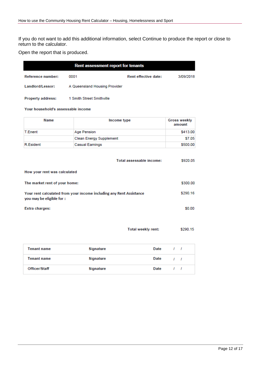If you do not want to add this additional information, select Continue to produce the report or close to return to the calculator.

Open the report that is produced.

| Rent assessment report for tenants |                               |                             |           |
|------------------------------------|-------------------------------|-----------------------------|-----------|
| Reference number:                  | 0001                          | <b>Rent effective date:</b> | 3/09/2018 |
| Landlord/Lessor:                   | A Queensland Housing Provider |                             |           |

Property address: 1 Smith Street Smithville

#### Your household's assessable income

| Name           | Income type             | Gross weekly<br>amount |
|----------------|-------------------------|------------------------|
| <b>T.Enent</b> | Age Pension             | \$413.00               |
|                | Clean Energy Supplement | \$7.05                 |
| R.Esident      | <b>Casual Earnings</b>  | \$500.00               |

|                                                                                                 | Total assessable income: | \$920.05 |
|-------------------------------------------------------------------------------------------------|--------------------------|----------|
| How your rent was calculated                                                                    |                          |          |
| The market rent of your home:                                                                   |                          | \$300.00 |
| Your rent calculated from your income including any Rent Assistance<br>you may be eligible for: |                          | \$290.16 |
| Extra charges:                                                                                  |                          | \$0.00   |

| Total weekly rent: | \$290.15 |
|--------------------|----------|
|                    |          |

| <b>Tenant name</b> | Signature | Date |            |
|--------------------|-----------|------|------------|
| <b>Tenant name</b> | Signature | Date | $\sqrt{1}$ |
| Officer/Staff      | Signature | Date |            |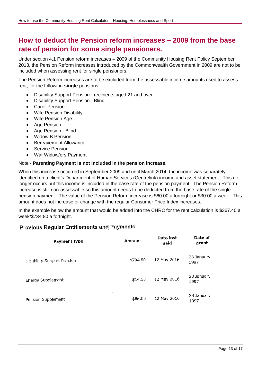### <span id="page-12-0"></span>**How to deduct the Pension reform increases – 2009 from the base rate of pension for some single pensioners.**

Under section 4.1 Pension reform increases – 2009 of the Community Housing Rent Policy September 2013, the Pension Reform increases introduced by the Commonwealth Government in 2009 are not to be included when assessing rent for single pensioners.

The Pension Reform increases are to be excluded from the assessable income amounts used to assess rent, for the following **single** pensions:

- Disability Support Pension recipients aged 21 and over
- Disability Support Pension Blind
- **Carer Pension**
- Wife Pension Disability
- Wife Pension Age
- Age Pension
- Age Pension Blind
- Widow B Pension
- Bereavement Allowance
- Service Pension
- War Widow/ers Payment

#### Note - **Parenting Payment is not included in the pension increase.**

When this increase occurred in September 2009 and until March 2014, the income was separately identified on a client's Department of Human Services (Centrelink) income and asset statement. This no longer occurs but this income is included in the base rate of the pension payment. The Pension Reform increase is still non-assessable so this amount needs to be deducted from the base rate of the single pension payment. The value of the Pension Reform increase is \$60.00 a fortnight or \$30.00 a week. This amount does not increase or change with the regular Consumer Price Index increases.

In the example below the amount that would be added into the CHRC for the rent calculation is \$367.40 a week/\$734.80 a fortnight.

| <b>Previous Regular Entitlements and Payments</b> |          |                   |                    |  |  |
|---------------------------------------------------|----------|-------------------|--------------------|--|--|
| Payment type                                      | Amount   | Date last<br>paid | Date of<br>grant   |  |  |
| Disability Support Pension                        | \$794.80 | 12 May 2016       | 23 January<br>1997 |  |  |
| Energy Supplement                                 | \$14.10  | 12 May 2016       | 23 January<br>1997 |  |  |
| ٠<br>Pension Supplement                           | \$65.00  | 12 May 2016       | 23 January<br>1997 |  |  |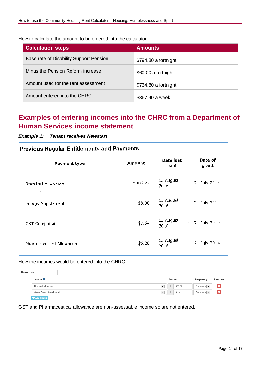How to calculate the amount to be entered into the calculator:

| <b>Calculation steps</b>                | <b>Amounts</b>       |
|-----------------------------------------|----------------------|
| Base rate of Disability Support Pension | \$794.80 a fortnight |
| Minus the Pension Reform increase       | \$60.00 a fortnight  |
| Amount used for the rent assessment     | \$734.80 a fortnight |
| Amount entered into the CHRC            | \$367.40 a week      |

### <span id="page-13-0"></span>**Examples of entering incomes into the CHRC from a Department of Human Services income statement**

### *Example 1: Tenant receives Newstart*

| <b>Previous Regular Entitlements and Payments</b> |          |                   |                  |  |
|---------------------------------------------------|----------|-------------------|------------------|--|
| Payment type                                      | Amount   | Date last<br>paid | Date of<br>grant |  |
| Newstart Allowance<br>$\boldsymbol{r}$            | \$385.27 | 15 August<br>2016 | 21 July 2014     |  |
| Energy Supplement                                 | \$8.80   | 15 August<br>2016 | 21 July 2014     |  |
| GST Component                                     | \$7.54   | 15 August<br>2016 | 21 July 2014     |  |
| Pharmaceutical Allowance                          | \$6.20   | 15 August<br>2016 | 21 July 2014     |  |

How the incomes would be entered into the CHRC:

| Name | Bob                     |                   |        |                                            |                           |
|------|-------------------------|-------------------|--------|--------------------------------------------|---------------------------|
|      | Income $\Theta$         |                   | Amount | Frequency                                  | Remove                    |
|      | Newstart Allowance      | $\check{ }$       | 385.27 | Fortnightly $  \vee  $                     | $\boldsymbol{\mathsf{x}}$ |
|      | Clean Energy Supplement | _<br>$\checkmark$ | 8.80   | ___<br>Fortnightly $\vert \bm{\vee} \vert$ | $\boldsymbol{\mathsf{x}}$ |
|      | + Add income            |                   |        |                                            |                           |

GST and Pharmaceutical allowance are non-assessable income so are not entered.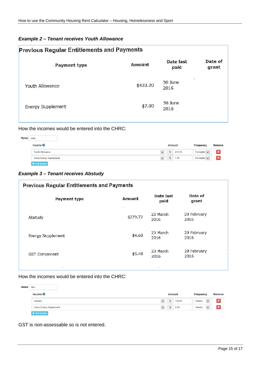#### *Example 2 – Tenant receives Youth Allowance*

| <b>Previous Regular Entitlements and Payments</b> |          |                      |                  |  |  |  |
|---------------------------------------------------|----------|----------------------|------------------|--|--|--|
| . Payment type                                    | Amount   | Date last<br>paid    | Date of<br>grant |  |  |  |
| Youth Allowance                                   | \$433.20 | ٠<br>30 June<br>2016 |                  |  |  |  |
| <b>Energy Supplement</b>                          | \$7.00   | 30 June<br>2016      |                  |  |  |  |

### How the incomes would be entered into the CHRC:

| Name | Jane                    |                                 |        |                               |                |
|------|-------------------------|---------------------------------|--------|-------------------------------|----------------|
|      | Income $\Theta$         |                                 | Amount | Frequency                     | Remove         |
|      | Youth Allowance         | ---<br>$\checkmark$<br>\$       | 433.20 | Fortnightly $  \vee  $        | ×              |
|      | Clean Energy Supplement | __<br>\$<br>$\checkmark$<br>___ | 7.00   | ___<br>Fortnightly $  \vee  $ | $\pmb{\times}$ |
|      | + Add income            |                                 |        |                               |                |

### *Example 3 – Tenant receives Abstudy*

| <b>Previous Regular Entitlements and Payments</b> |          |                   |                                |  |  |
|---------------------------------------------------|----------|-------------------|--------------------------------|--|--|
| Payment type                                      | Amount   | Date last<br>paid | Date of<br>grant               |  |  |
| Abstudy                                           | \$279,72 | 23 March<br>2016  | 29 February<br>2016            |  |  |
| Energy Supplement                                 | \$4.60   | 23 March<br>2016  | 29 February<br>2016            |  |  |
| <b>GST Component</b>                              | \$5.48   | 23 March<br>2016  | $\cdot$<br>29 February<br>2016 |  |  |
|                                                   |          |                   |                                |  |  |

#### How the incomes would be entered into the CHRC:

| Name | Alex                    |                                                      |        |           |                                        |                           |
|------|-------------------------|------------------------------------------------------|--------|-----------|----------------------------------------|---------------------------|
|      | Income $\Theta$         |                                                      | Amount | Frequency |                                        | Remove                    |
|      | Abstudy                 | __<br>$\checkmark$<br>\$                             | 139.86 | Weekly    | ___<br>$\vert \mathsf{v} \vert$<br>___ | $\boldsymbol{\mathsf{x}}$ |
|      | Clean Energy Supplement | $\overline{\phantom{a}}$<br>$\checkmark$<br>\$<br>__ | 2.30   | Weekly    | ___<br>$\vee$<br>$-$                   | ×                         |
|      | Add income              |                                                      |        |           |                                        |                           |

GST is non-assessable so is not entered.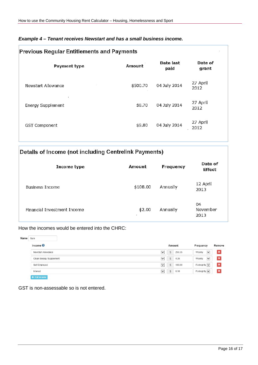| Example 4 – Tenant receives Newstart and has a small business income. |  |  |
|-----------------------------------------------------------------------|--|--|
|                                                                       |  |  |

| <b>Previous Regular Entitlements and Payments</b> |          |                   |                  |  |  |  |
|---------------------------------------------------|----------|-------------------|------------------|--|--|--|
| Payment type                                      | Amount   | Date last<br>paid | Date of<br>grant |  |  |  |
| Newstart Allowance                                | \$500.70 | 04 July 2014      | 27 April<br>2012 |  |  |  |
| Energy Supplement                                 | \$8.70   | 04 July 2014      | 27 April<br>2012 |  |  |  |
| <b>GST Component</b>                              | \$9.80   | 04 July 2014      | 27 April<br>2012 |  |  |  |

### Details of Income (not including Centrelink Payments)

| Income type                 | Amount   | Frequency | Date of<br>Effect      |
|-----------------------------|----------|-----------|------------------------|
| <b>Business Income</b>      | \$108.00 | Annually  | 12 April<br>2013       |
| Financial Investment Income | \$2.00   | Annually  | 04<br>November<br>2013 |

### How the incomes would be entered into the CHRC:

| Name | Sam                     |              |                |        |                                     |             |                 |
|------|-------------------------|--------------|----------------|--------|-------------------------------------|-------------|-----------------|
|      | Income $\Theta$         |              | Amount         |        | Frequency                           |             | Remove          |
|      | Newstart Allowance      | $\checkmark$ | \$             | 250.35 | Weekly                              | $\check{ }$ | $\vert x \vert$ |
|      | Clean Energy Supplement | $\checkmark$ | \$             | 4.35   | Weekly                              | $\check{}$  | $\vert x \vert$ |
|      | Self Employed           | $\checkmark$ | $\mathfrak{S}$ | 100.00 | Fortnightly $\vert \bm{\vee} \vert$ |             | $\vert x \vert$ |
|      | Interest                | $\checkmark$ | \$             | 0.10   | Fortnightly $\vert \bm{\vee} \vert$ |             | $\vert x \vert$ |
|      | + Add income            |              |                |        |                                     |             |                 |

GST is non-assessable so is not entered.